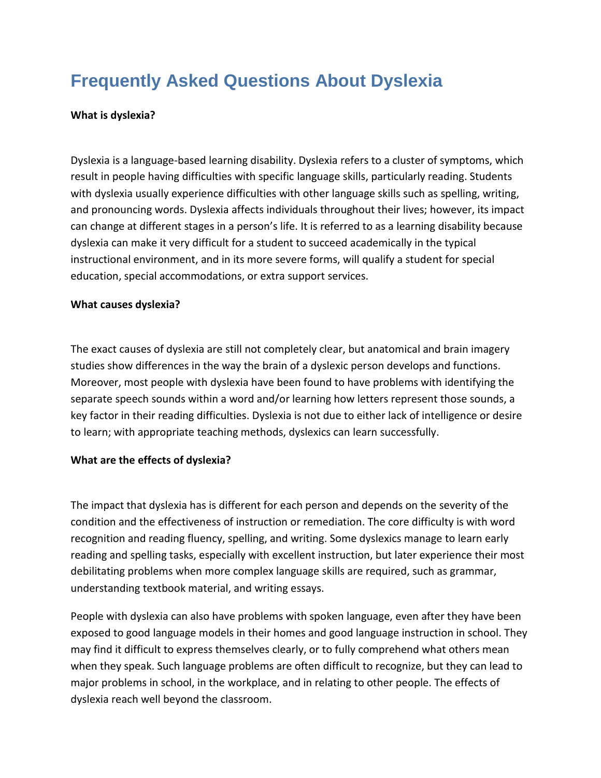## **Frequently Asked Questions About Dyslexia**

## **What is dyslexia?**

Dyslexia is a language-based learning disability. Dyslexia refers to a cluster of symptoms, which result in people having difficulties with specific language skills, particularly reading. Students with dyslexia usually experience difficulties with other language skills such as spelling, writing, and pronouncing words. Dyslexia affects individuals throughout their lives; however, its impact can change at different stages in a person's life. It is referred to as a learning disability because dyslexia can make it very difficult for a student to succeed academically in the typical instructional environment, and in its more severe forms, will qualify a student for special education, special accommodations, or extra support services.

## **What causes dyslexia?**

The exact causes of dyslexia are still not completely clear, but anatomical and brain imagery studies show differences in the way the brain of a dyslexic person develops and functions. Moreover, most people with dyslexia have been found to have problems with identifying the separate speech sounds within a word and/or learning how letters represent those sounds, a key factor in their reading difficulties. Dyslexia is not due to either lack of intelligence or desire to learn; with appropriate teaching methods, dyslexics can learn successfully.

## **What are the effects of dyslexia?**

The impact that dyslexia has is different for each person and depends on the severity of the condition and the effectiveness of instruction or remediation. The core difficulty is with word recognition and reading fluency, spelling, and writing. Some dyslexics manage to learn early reading and spelling tasks, especially with excellent instruction, but later experience their most debilitating problems when more complex language skills are required, such as grammar, understanding textbook material, and writing essays.

People with dyslexia can also have problems with spoken language, even after they have been exposed to good language models in their homes and good language instruction in school. They may find it difficult to express themselves clearly, or to fully comprehend what others mean when they speak. Such language problems are often difficult to recognize, but they can lead to major problems in school, in the workplace, and in relating to other people. The effects of dyslexia reach well beyond the classroom.